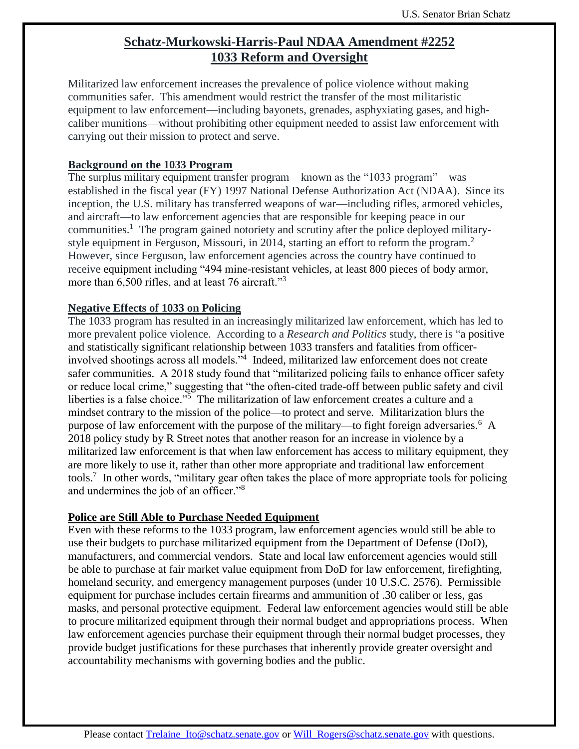# **Schatz-Murkowski-Harris-Paul NDAA Amendment #2252 1033 Reform and Oversight**

Militarized law enforcement increases the prevalence of police violence without making communities safer. This amendment would restrict the transfer of the most militaristic equipment to law enforcement—including bayonets, grenades, asphyxiating gases, and highcaliber munitions—without prohibiting other equipment needed to assist law enforcement with carrying out their mission to protect and serve.

### **Background on the 1033 Program**

The surplus military equipment transfer program—known as the "1033 program"—was established in the fiscal year (FY) 1997 National Defense Authorization Act (NDAA). Since its inception, the U.S. military has transferred weapons of war—including rifles, armored vehicles, and aircraft—to law enforcement agencies that are responsible for keeping peace in our communities.<sup>1</sup> The program gained notoriety and scrutiny after the police deployed militarystyle equipment in Ferguson, Missouri, in 2014, starting an effort to reform the program.<sup>2</sup> However, since Ferguson, law enforcement agencies across the country have continued to receive equipment including "494 mine-resistant vehicles, at least 800 pieces of body armor, more than 6,500 rifles, and at least 76 aircraft."<sup>3</sup>

#### **Negative Effects of 1033 on Policing**

The 1033 program has resulted in an increasingly militarized law enforcement, which has led to more prevalent police violence. According to a *Research and Politics* study, there is "a positive and statistically significant relationship between 1033 transfers and fatalities from officerinvolved shootings across all models.<sup>34</sup> Indeed, militarized law enforcement does not create safer communities. A 2018 study found that "militarized policing fails to enhance officer safety or reduce local crime," suggesting that "the often-cited trade-off between public safety and civil liberties is a false choice."<sup>5</sup> The militarization of law enforcement creates a culture and a mindset contrary to the mission of the police—to protect and serve. Militarization blurs the purpose of law enforcement with the purpose of the military—to fight foreign adversaries.<sup>6</sup> A 2018 policy study by R Street notes that another reason for an increase in violence by a militarized law enforcement is that when law enforcement has access to military equipment, they are more likely to use it, rather than other more appropriate and traditional law enforcement tools.<sup>7</sup> In other words, "military gear often takes the place of more appropriate tools for policing and undermines the job of an officer."<sup>8</sup>

### **Police are Still Able to Purchase Needed Equipment**

Even with these reforms to the 1033 program, law enforcement agencies would still be able to use their budgets to purchase militarized equipment from the Department of Defense (DoD), manufacturers, and commercial vendors. State and local law enforcement agencies would still be able to purchase at fair market value equipment from DoD for law enforcement, firefighting, homeland security, and emergency management purposes (under 10 U.S.C. 2576). Permissible equipment for purchase includes certain firearms and ammunition of .30 caliber or less, gas masks, and personal protective equipment. Federal law enforcement agencies would still be able to procure militarized equipment through their normal budget and appropriations process. When law enforcement agencies purchase their equipment through their normal budget processes, they provide budget justifications for these purchases that inherently provide greater oversight and accountability mechanisms with governing bodies and the public.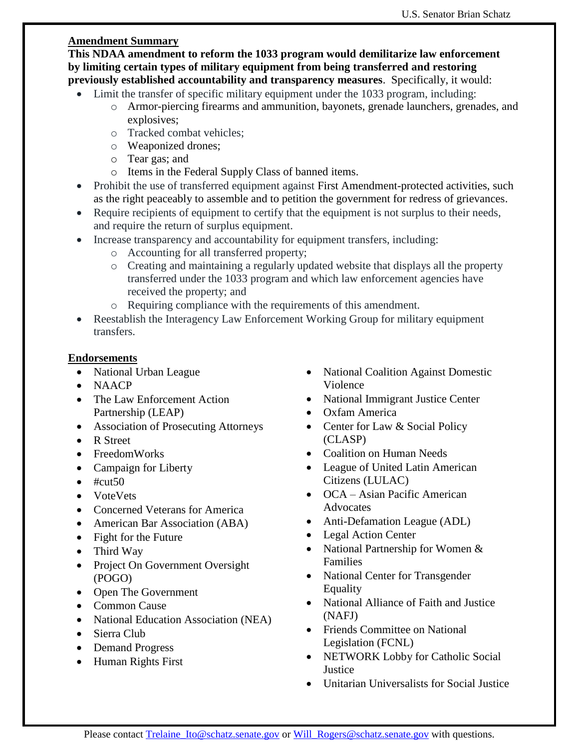## **Amendment Summary**

**This NDAA amendment to reform the 1033 program would demilitarize law enforcement by limiting certain types of military equipment from being transferred and restoring previously established accountability and transparency measures**. Specifically, it would:

- Limit the transfer of specific military equipment under the 1033 program, including:
	- o Armor-piercing firearms and ammunition, bayonets, grenade launchers, grenades, and explosives;
	- o Tracked combat vehicles;
	- o Weaponized drones;
	- o Tear gas; and
	- o Items in the Federal Supply Class of banned items.
- Prohibit the use of transferred equipment against First Amendment-protected activities, such as the right peaceably to assemble and to petition the government for redress of grievances.
- Require recipients of equipment to certify that the equipment is not surplus to their needs, and require the return of surplus equipment.
- Increase transparency and accountability for equipment transfers, including:
	- o Accounting for all transferred property;
	- o Creating and maintaining a regularly updated website that displays all the property transferred under the 1033 program and which law enforcement agencies have received the property; and
	- o Requiring compliance with the requirements of this amendment.
- Reestablish the Interagency Law Enforcement Working Group for military equipment transfers.

## **Endorsements**

- National Urban League
- NAACP
- The Law Enforcement Action Partnership (LEAP)
- Association of Prosecuting Attorneys
- R Street
- FreedomWorks
- Campaign for Liberty
- $\bullet$  #cut50
- VoteVets
- Concerned Veterans for America
- American Bar Association (ABA)
- Fight for the Future
- Third Way
- Project On Government Oversight (POGO)
- Open The Government
- Common Cause
- National Education Association (NEA)
- Sierra Club
- Demand Progress
- Human Rights First
- National Coalition Against Domestic Violence
- National Immigrant Justice Center
- Oxfam America
- Center for Law & Social Policy (CLASP)
- Coalition on Human Needs
- League of United Latin American Citizens (LULAC)
- OCA Asian Pacific American **Advocates**
- Anti-Defamation League (ADL)
- Legal Action Center
- National Partnership for Women & Families
- National Center for Transgender Equality
- National Alliance of Faith and Justice (NAFJ)
- Friends Committee on National Legislation (FCNL)
- NETWORK Lobby for Catholic Social **Justice**
- Unitarian Universalists for Social Justice